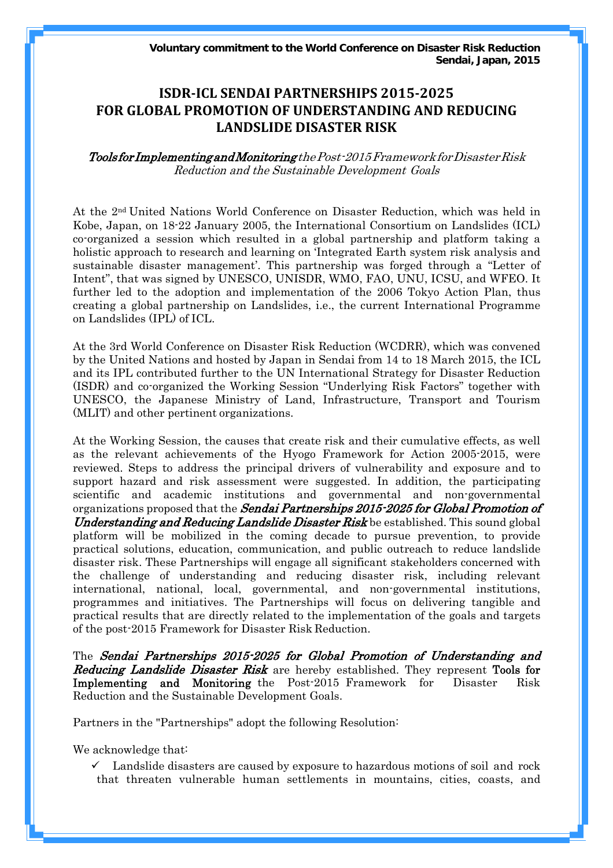# **ISDR‐ICL SENDAI PARTNERSHIPS 2015‐2025 FOR GLOBAL PROMOTION OF UNDERSTANDING AND REDUCING LANDSLIDE DISASTER RISK**

### Tools for Implementing and Monitoring the Post-2015 Framework for Disaster Risk Reduction and the Sustainable Development Goals

At the 2nd United Nations World Conference on Disaster Reduction, which was held in Kobe, Japan, on 18-22 January 2005, the International Consortium on Landslides (ICL) co-organized a session which resulted in a global partnership and platform taking a holistic approach to research and learning on 'Integrated Earth system risk analysis and sustainable disaster management'. This partnership was forged through a "Letter of Intent", that was signed by UNESCO, UNISDR, WMO, FAO, UNU, ICSU, and WFEO. It further led to the adoption and implementation of the 2006 Tokyo Action Plan, thus creating a global partnership on Landslides, i.e., the current International Programme on Landslides (IPL) of ICL.

At the 3rd World Conference on Disaster Risk Reduction (WCDRR), which was convened by the United Nations and hosted by Japan in Sendai from 14 to 18 March 2015, the ICL and its IPL contributed further to the UN International Strategy for Disaster Reduction (ISDR) and co-organized the Working Session "Underlying Risk Factors" together with UNESCO, the Japanese Ministry of Land, Infrastructure, Transport and Tourism (MLIT) and other pertinent organizations.

At the Working Session, the causes that create risk and their cumulative effects, as well as the relevant achievements of the Hyogo Framework for Action 2005-2015, were reviewed. Steps to address the principal drivers of vulnerability and exposure and to support hazard and risk assessment were suggested. In addition, the participating scientific and academic institutions and governmental and non-governmental organizations proposed that the **Sendai Partnerships 2015-2025 for Global Promotion of** Understanding and Reducing Landslide Disaster Risk be established. This sound global platform will be mobilized in the coming decade to pursue prevention, to provide practical solutions, education, communication, and public outreach to reduce landslide disaster risk. These Partnerships will engage all significant stakeholders concerned with the challenge of understanding and reducing disaster risk, including relevant international, national, local, governmental, and non-governmental institutions, programmes and initiatives. The Partnerships will focus on delivering tangible and practical results that are directly related to the implementation of the goals and targets of the post-2015 Framework for Disaster Risk Reduction.

The Sendai Partnerships 2015-2025 for Global Promotion of Understanding and **Reducing Landslide Disaster Risk** are hereby established. They represent **Tools for** Implementing and Monitoring the Post-2015 Framework for Disaster Risk Reduction and the Sustainable Development Goals.

Partners in the "Partnerships" adopt the following Resolution:

We acknowledge that:

 $\checkmark$  Landslide disasters are caused by exposure to hazardous motions of soil and rock that threaten vulnerable human settlements in mountains, cities, coasts, and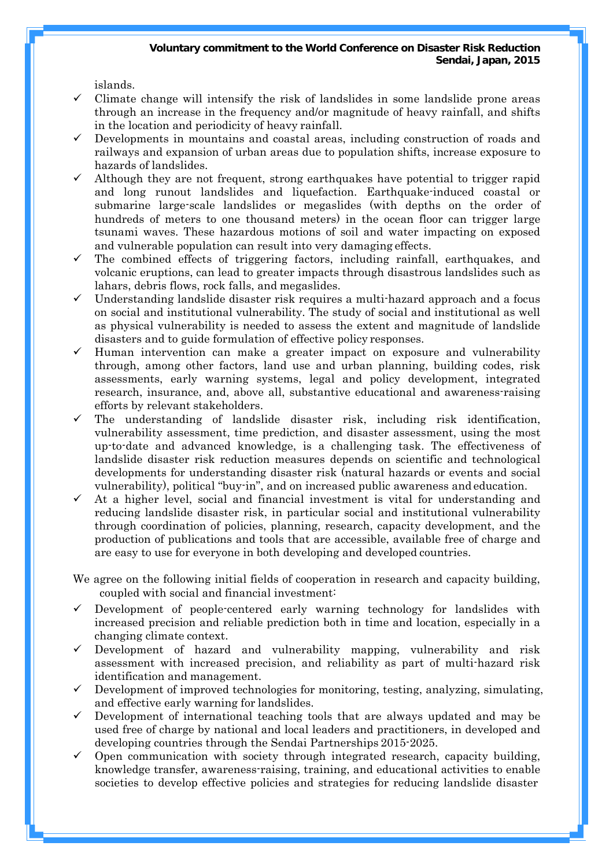islands.

- Climate change will intensify the risk of landslides in some landslide prone areas through an increase in the frequency and/or magnitude of heavy rainfall, and shifts in the location and periodicity of heavy rainfall.
- Developments in mountains and coastal areas, including construction of roads and railways and expansion of urban areas due to population shifts, increase exposure to hazards of landslides.
- Although they are not frequent, strong earthquakes have potential to trigger rapid and long runout landslides and liquefaction. Earthquake-induced coastal or submarine large-scale landslides or megaslides (with depths on the order of hundreds of meters to one thousand meters) in the ocean floor can trigger large tsunami waves. These hazardous motions of soil and water impacting on exposed and vulnerable population can result into very damaging effects.
- The combined effects of triggering factors, including rainfall, earthquakes, and volcanic eruptions, can lead to greater impacts through disastrous landslides such as lahars, debris flows, rock falls, and megaslides.
- Understanding landslide disaster risk requires a multi-hazard approach and a focus on social and institutional vulnerability. The study of social and institutional as well as physical vulnerability is needed to assess the extent and magnitude of landslide disasters and to guide formulation of effective policy responses.
- Human intervention can make a greater impact on exposure and vulnerability through, among other factors, land use and urban planning, building codes, risk assessments, early warning systems, legal and policy development, integrated research, insurance, and, above all, substantive educational and awareness-raising efforts by relevant stakeholders.
- The understanding of landslide disaster risk, including risk identification, vulnerability assessment, time prediction, and disaster assessment, using the most up-to-date and advanced knowledge, is a challenging task. The effectiveness of landslide disaster risk reduction measures depends on scientific and technological developments for understanding disaster risk (natural hazards or events and social vulnerability), political "buy-in", and on increased public awareness and education.
- At a higher level, social and financial investment is vital for understanding and reducing landslide disaster risk, in particular social and institutional vulnerability through coordination of policies, planning, research, capacity development, and the production of publications and tools that are accessible, available free of charge and are easy to use for everyone in both developing and developed countries.
- We agree on the following initial fields of cooperation in research and capacity building, coupled with social and financial investment:
- Development of people-centered early warning technology for landslides with increased precision and reliable prediction both in time and location, especially in a changing climate context.
- $\checkmark$  Development of hazard and vulnerability mapping, vulnerability and risk assessment with increased precision, and reliability as part of multi-hazard risk identification and management.
- Development of improved technologies for monitoring, testing, analyzing, simulating, and effective early warning for landslides.
- Development of international teaching tools that are always updated and may be used free of charge by national and local leaders and practitioners, in developed and developing countries through the Sendai Partnerships 2015-2025.
- Open communication with society through integrated research, capacity building, knowledge transfer, awareness-raising, training, and educational activities to enable societies to develop effective policies and strategies for reducing landslide disaster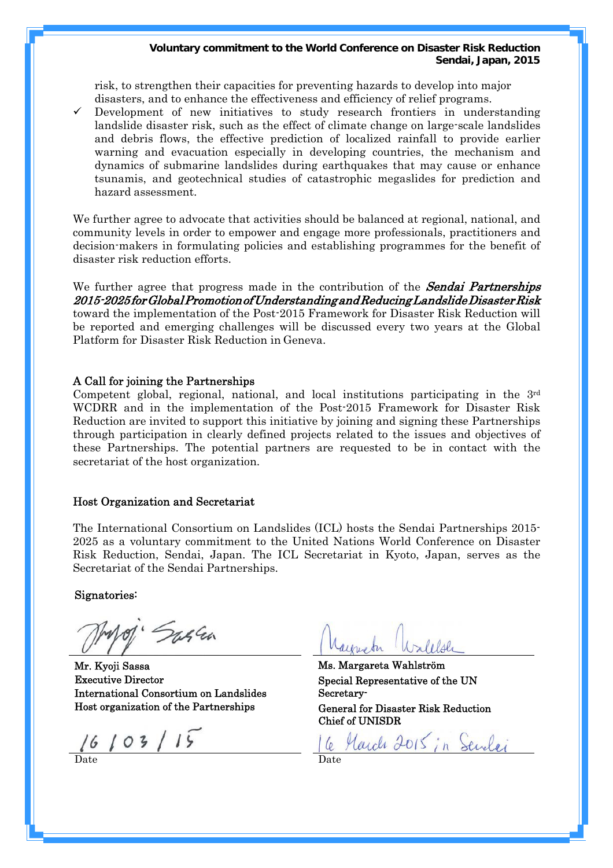risk, to strengthen their capacities for preventing hazards to develop into major disasters, and to enhance the effectiveness and efficiency of relief programs.

 Development of new initiatives to study research frontiers in understanding landslide disaster risk, such as the effect of climate change on large-scale landslides and debris flows, the effective prediction of localized rainfall to provide earlier warning and evacuation especially in developing countries, the mechanism and dynamics of submarine landslides during earthquakes that may cause or enhance tsunamis, and geotechnical studies of catastrophic megaslides for prediction and hazard assessment.

We further agree to advocate that activities should be balanced at regional, national, and community levels in order to empower and engage more professionals, practitioners and decision-makers in formulating policies and establishing programmes for the benefit of disaster risk reduction efforts.

We further agree that progress made in the contribution of the **Sendai Partnerships** 2015-2025 for Global Promotion of Understanding and Reducing Landslide Disaster Risk toward the implementation of the Post-2015 Framework for Disaster Risk Reduction will be reported and emerging challenges will be discussed every two years at the Global Platform for Disaster Risk Reduction in Geneva.

### A Call for joining the Partnerships

Competent global, regional, national, and local institutions participating in the 3rd WCDRR and in the implementation of the Post-2015 Framework for Disaster Risk Reduction are invited to support this initiative by joining and signing these Partnerships through participation in clearly defined projects related to the issues and objectives of these Partnerships. The potential partners are requested to be in contact with the secretariat of the host organization.

### Host Organization and Secretariat

The International Consortium on Landslides (ICL) hosts the Sendai Partnerships 2015- 2025 as a voluntary commitment to the United Nations World Conference on Disaster Risk Reduction, Sendai, Japan. The ICL Secretariat in Kyoto, Japan, serves as the Secretariat of the Sendai Partnerships.

### Signatories:

i Sasa

Mr. Kyoji Sassa Executive Director International Consortium on Landslides Host organization of the Partnerships

Mayneta

Ms. Margareta Wahlström Special Representative of the UN Secretary-General for Disaster Risk Reduction Chief of UNISDR

Date Date Date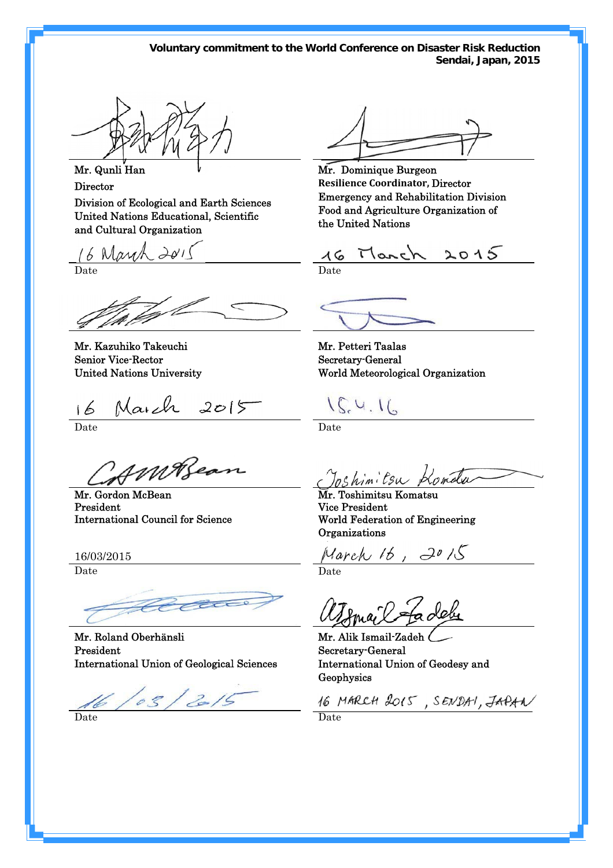Mr. Qunli Han Director Division of Ecological and Earth Sciences United Nations Educational, Scientific and Cultural Organization

 $16$  March  $2015$   $16$ 

Mr. Kazuhiko Takeuchi Senior Vice-Rector United Nations University

 $\frac{16}{\text{Date}}$  March 2015  $\frac{18}{\text{Date}}$ 

smokean

Mr. Gordon McBean President International Council for Science

16/03/2015



Mr. Roland Oberhänsli President International Union of Geological Sciences

 $16/03/2015$ Date Date Date



Mr. Dominique Burgeon **Resilience Coordinator,** Director Emergency and Rehabilitation Division Food and Agriculture Organization of the United Nations

16 March 2015

Mr. Petteri Taalas Secretary-General World Meteorological Organization

 $15.4.16$ 

Joshimilsu Kondu

Mr. Toshimitsu Komatsu Vice President World Federation of Engineering Organizations

Date Date

Jonail Fadely

Mr. Alik Ismail-Zadeh Secretary-General International Union of Geodesy and Geophysics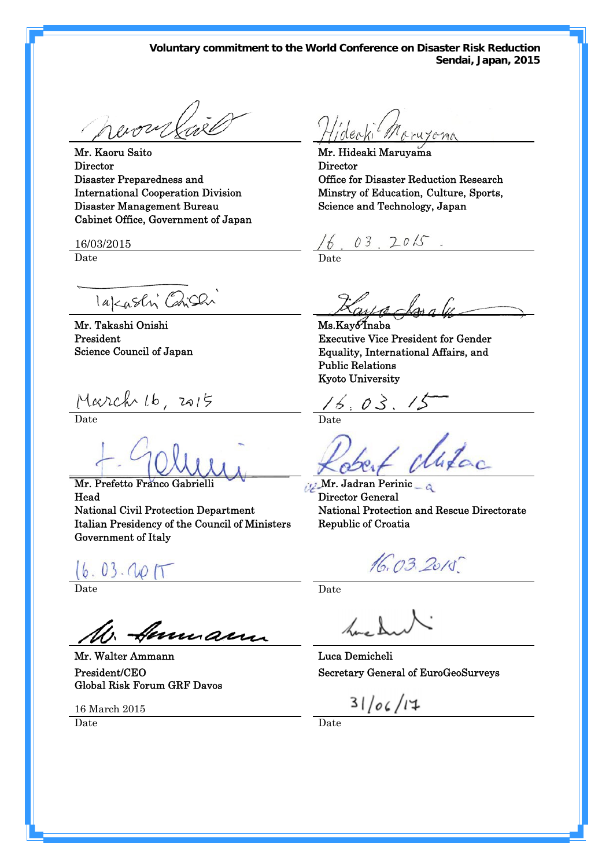ravelare

Mr. Kaoru Saito **Director** Disaster Preparedness and International Cooperation Division Disaster Management Bureau Cabinet Office, Government of Japan

16/03/2015

Date Date

lakashi Chish

Mr. Takashi Onishi President Science Council of Japan

March 16, 2015

Mr. Prefetto Franco Gabrielli Head National Civil Protection Department Italian Presidency of the Council of Ministers Government of Italy

 $\left(\begin{array}{ccc} 0.03.00 \end{array}\right)$  Date

femmann

Mr. Walter Ammann President/CEO Global Risk Forum GRF Davos

16 March 2015

Date Date Date

idenki<sup>1</sup> cruyoma

Mr. Hideaki Maruyama **Director** Office for Disaster Reduction Research Minstry of Education, Culture, Sports, Science and Technology, Japan

clara.

Ms.Kayo Inaba Executive Vice President for Gender Equality, International Affairs, and Public Relations Kyoto University

 $16.03.15$ 

 $Mr$ . Jadran Perinic  $-a$ Director General National Protection and Rescue Directorate Republic of Croatia

16.03.2015

Luca Demicheli Secretary General of EuroGeoSurveys

 $31/06/14$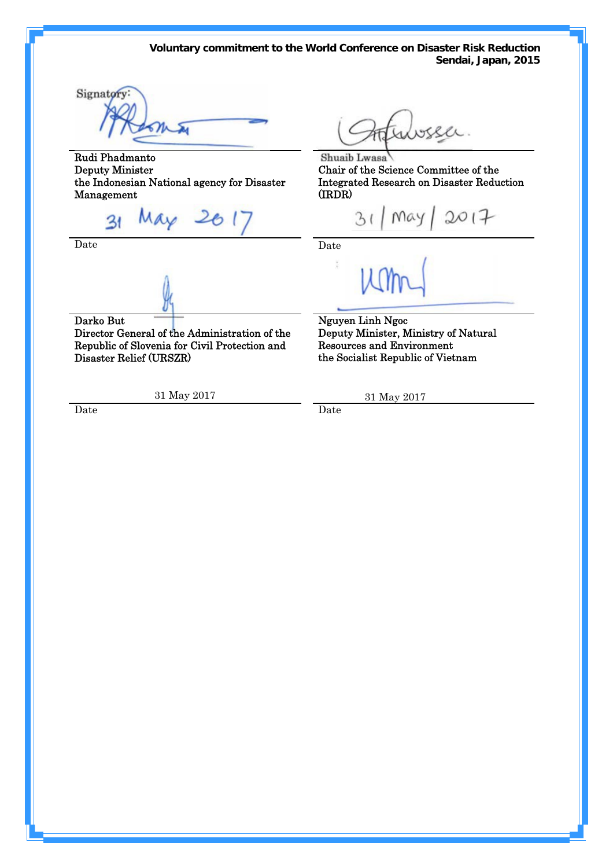Signatory 孙

Rudi Phadmanto Deputy Minister the Indonesian National agency for Disaster Management

May 201  $31$ 

Darko But

Disaster Relief (URSZR)

osser.

Shuaib Lwasa Chair of the Science Committee of the Integrated Research on Disaster Reduction (IRDR)

 $2017$ May

Date Date

Nguyen Linh Ngoc Deputy Minister, Ministry of Natural Resources and Environment the Socialist Republic of Vietnam

31 May 2017

Director General of the Administration of the Republic of Slovenia for Civil Protection and

Date Date Date

31 May 2017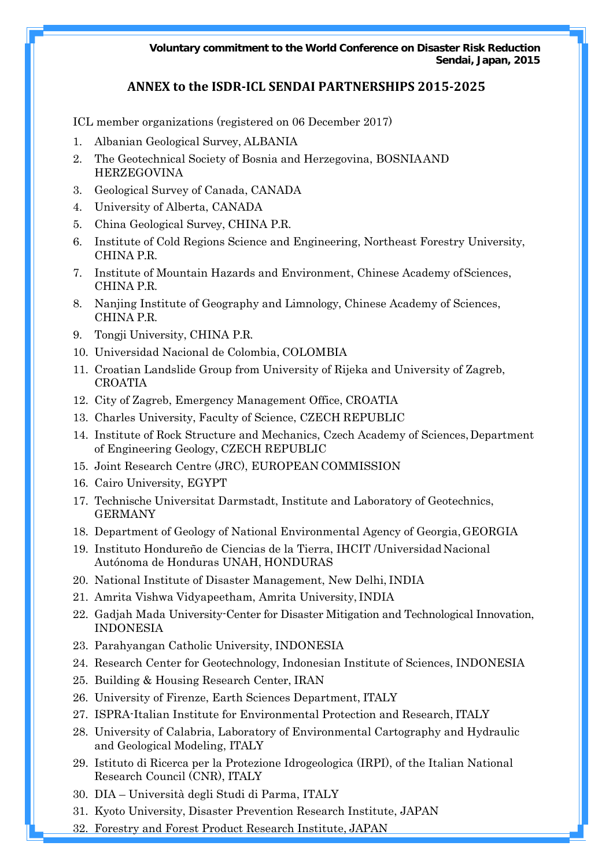## **ANNEX to the ISDR‐ICL SENDAI PARTNERSHIPS 2015‐2025**

ICL member organizations (registered on 06 December 2017)

- 1. Albanian Geological Survey, ALBANIA
- 2. The Geotechnical Society of Bosnia and Herzegovina, BOSNIA AND HERZEGOVINA
- 3. Geological Survey of Canada, CANADA
- 4. University of Alberta, CANADA
- 5. China Geological Survey, CHINA P.R.
- 6. Institute of Cold Regions Science and Engineering, Northeast Forestry University, CHINA P.R.
- 7. Institute of Mountain Hazards and Environment, Chinese Academy of Sciences, CHINA P.R.
- 8. Nanjing Institute of Geography and Limnology, Chinese Academy of Sciences, CHINA P.R.
- 9. Tongji University, CHINA P.R.
- 10. Universidad Nacional de Colombia, COLOMBIA
- 11. Croatian Landslide Group from University of Rijeka and University of Zagreb, CROATIA
- 12. City of Zagreb, Emergency Management Office, CROATIA
- 13. Charles University, Faculty of Science, CZECH REPUBLIC
- 14. Institute of Rock Structure and Mechanics, Czech Academy of Sciences, Department of Engineering Geology, CZECH REPUBLIC
- 15. Joint Research Centre (JRC), EUROPEAN COMMISSION
- 16. Cairo University, EGYPT
- 17. Technische Universitat Darmstadt, Institute and Laboratory of Geotechnics, GERMANY
- 18. Department of Geology of National Environmental Agency of Georgia, GEORGIA
- 19. Instituto Hondureño de Ciencias de la Tierra, IHCIT /Universidad Nacional Autónoma de Honduras UNAH, HONDURAS
- 20. National Institute of Disaster Management, New Delhi, INDIA
- 21. Amrita Vishwa Vidyapeetham, Amrita University, INDIA
- 22. Gadjah Mada University-Center for Disaster Mitigation and Technological Innovation, INDONESIA
- 23. Parahyangan Catholic University, INDONESIA
- 24. Research Center for Geotechnology, Indonesian Institute of Sciences, INDONESIA
- 25. Building & Housing Research Center, IRAN
- 26. University of Firenze, Earth Sciences Department, ITALY
- 27. ISPRA-Italian Institute for Environmental Protection and Research, ITALY
- 28. University of Calabria, Laboratory of Environmental Cartography and Hydraulic and Geological Modeling, ITALY
- 29. Istituto di Ricerca per la Protezione Idrogeologica (IRPI), of the Italian National Research Council (CNR), ITALY
- 30. DIA Università degli Studi di Parma, ITALY
- 31. Kyoto University, Disaster Prevention Research Institute, JAPAN
- 32. Forestry and Forest Product Research Institute, JAPAN